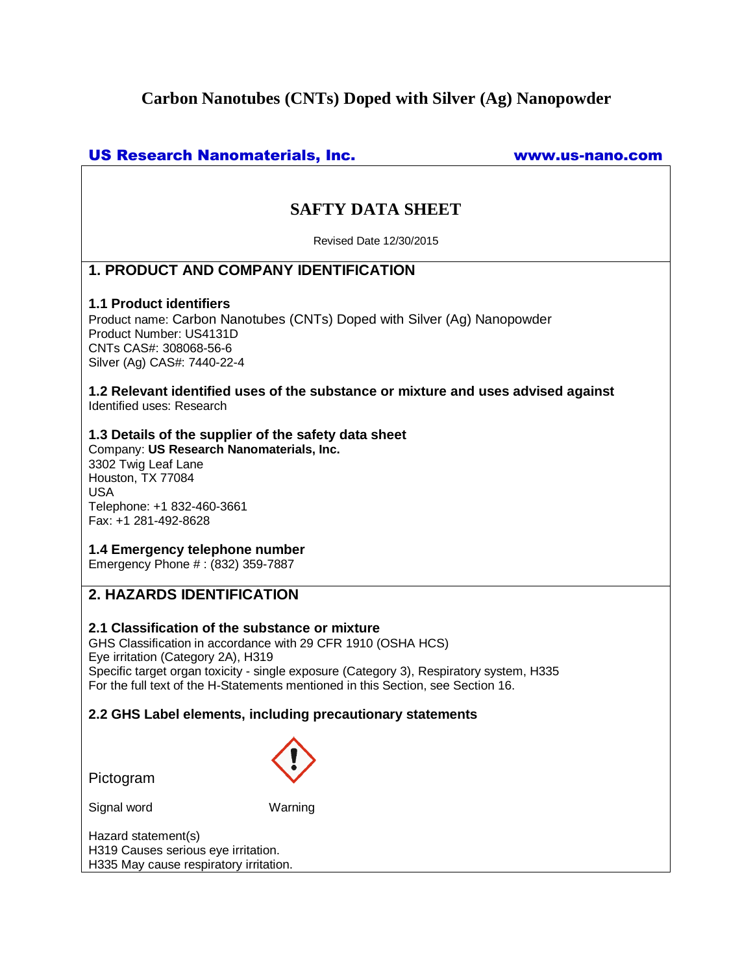# **Carbon Nanotubes (CNTs) Doped with Silver (Ag) Nanopowder**

## US Research Nanomaterials, Inc. www.us-nano.com

# **SAFTY DATA SHEET**

Revised Date 12/30/2015

## **1. PRODUCT AND COMPANY IDENTIFICATION**

### **1.1 Product identifiers**

Product name: Carbon Nanotubes (CNTs) Doped with Silver (Ag) Nanopowder Product Number: US4131D CNTs CAS#: 308068-56-6 Silver (Ag) CAS#: 7440-22-4

**1.2 Relevant identified uses of the substance or mixture and uses advised against** Identified uses: Research

### **1.3 Details of the supplier of the safety data sheet**

Company: **US Research Nanomaterials, Inc.** 3302 Twig Leaf Lane Houston, TX 77084 USA Telephone: +1 832-460-3661 Fax: +1 281-492-8628

### **1.4 Emergency telephone number**

Emergency Phone # : (832) 359-7887

## **2. HAZARDS IDENTIFICATION**

## **2.1 Classification of the substance or mixture**

GHS Classification in accordance with 29 CFR 1910 (OSHA HCS) Eye irritation (Category 2A), H319 Specific target organ toxicity - single exposure (Category 3), Respiratory system, H335 For the full text of the H-Statements mentioned in this Section, see Section 16.

## **2.2 GHS Label elements, including precautionary statements**

Pictogram

Signal word Warning

Hazard statement(s) H319 Causes serious eye irritation. H335 May cause respiratory irritation.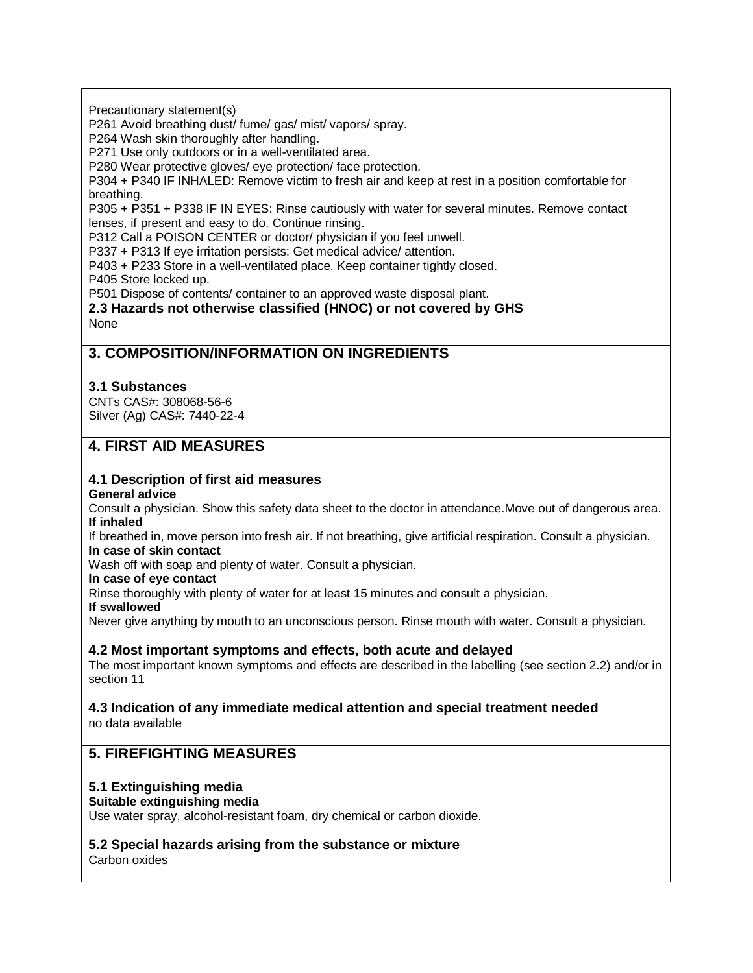Precautionary statement(s)

P261 Avoid breathing dust/ fume/ gas/ mist/ vapors/ spray.

P264 Wash skin thoroughly after handling.

P271 Use only outdoors or in a well-ventilated area.

P280 Wear protective gloves/ eye protection/ face protection.

P304 + P340 IF INHALED: Remove victim to fresh air and keep at rest in a position comfortable for breathing.

P305 + P351 + P338 IF IN EYES: Rinse cautiously with water for several minutes. Remove contact lenses, if present and easy to do. Continue rinsing.

P312 Call a POISON CENTER or doctor/ physician if you feel unwell.

P337 + P313 If eye irritation persists: Get medical advice/ attention.

P403 + P233 Store in a well-ventilated place. Keep container tightly closed.

P405 Store locked up.

P501 Dispose of contents/ container to an approved waste disposal plant.

**2.3 Hazards not otherwise classified (HNOC) or not covered by GHS** None

## **3. COMPOSITION/INFORMATION ON INGREDIENTS**

### **3.1 Substances**

CNTs CAS#: 308068-56-6 Silver (Ag) CAS#: 7440-22-4

## **4. FIRST AID MEASURES**

# **4.1 Description of first aid measures**

**General advice**

Consult a physician. Show this safety data sheet to the doctor in attendance.Move out of dangerous area. **If inhaled**

If breathed in, move person into fresh air. If not breathing, give artificial respiration. Consult a physician. **In case of skin contact**

Wash off with soap and plenty of water. Consult a physician.

**In case of eye contact**

Rinse thoroughly with plenty of water for at least 15 minutes and consult a physician.

**If swallowed**

Never give anything by mouth to an unconscious person. Rinse mouth with water. Consult a physician.

## **4.2 Most important symptoms and effects, both acute and delayed**

The most important known symptoms and effects are described in the labelling (see section 2.2) and/or in section 11

#### **4.3 Indication of any immediate medical attention and special treatment needed** no data available

## **5. FIREFIGHTING MEASURES**

## **5.1 Extinguishing media**

#### **Suitable extinguishing media**

Use water spray, alcohol-resistant foam, dry chemical or carbon dioxide.

## **5.2 Special hazards arising from the substance or mixture**

Carbon oxides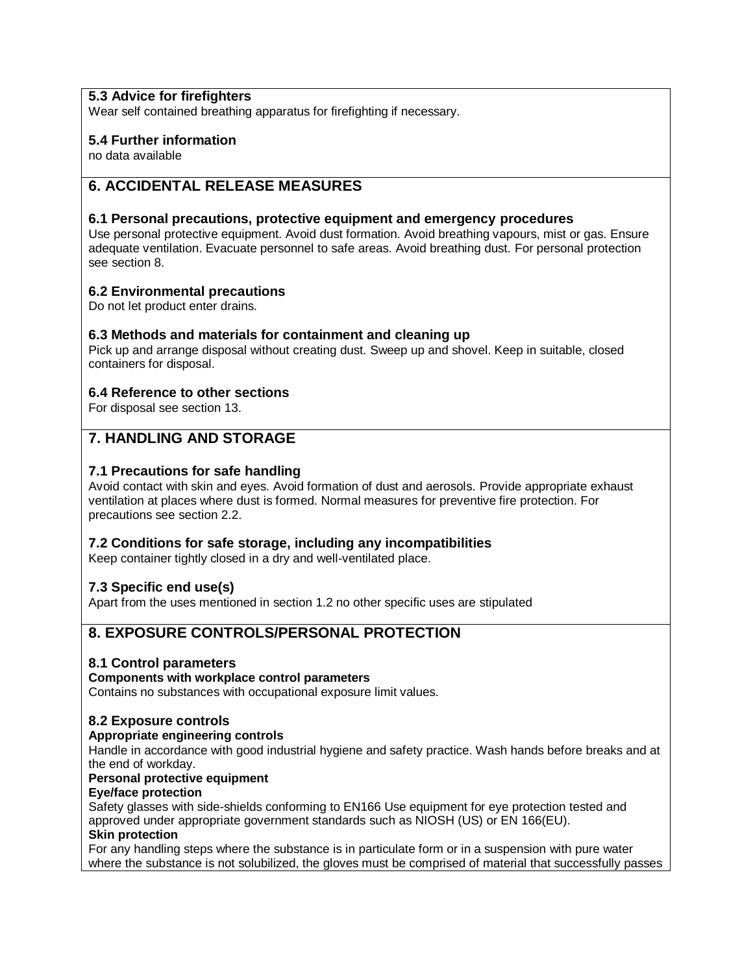## **5.3 Advice for firefighters**

Wear self contained breathing apparatus for firefighting if necessary.

### **5.4 Further information**

no data available

## **6. ACCIDENTAL RELEASE MEASURES**

#### **6.1 Personal precautions, protective equipment and emergency procedures**

Use personal protective equipment. Avoid dust formation. Avoid breathing vapours, mist or gas. Ensure adequate ventilation. Evacuate personnel to safe areas. Avoid breathing dust. For personal protection see section 8.

### **6.2 Environmental precautions**

Do not let product enter drains.

#### **6.3 Methods and materials for containment and cleaning up**

Pick up and arrange disposal without creating dust. Sweep up and shovel. Keep in suitable, closed containers for disposal.

### **6.4 Reference to other sections**

For disposal see section 13.

## **7. HANDLING AND STORAGE**

#### **7.1 Precautions for safe handling**

Avoid contact with skin and eyes. Avoid formation of dust and aerosols. Provide appropriate exhaust ventilation at places where dust is formed. Normal measures for preventive fire protection. For precautions see section 2.2.

#### **7.2 Conditions for safe storage, including any incompatibilities**

Keep container tightly closed in a dry and well-ventilated place.

#### **7.3 Specific end use(s)**

Apart from the uses mentioned in section 1.2 no other specific uses are stipulated

## **8. EXPOSURE CONTROLS/PERSONAL PROTECTION**

#### **8.1 Control parameters**

#### **Components with workplace control parameters**

Contains no substances with occupational exposure limit values.

#### **8.2 Exposure controls**

#### **Appropriate engineering controls**

Handle in accordance with good industrial hygiene and safety practice. Wash hands before breaks and at the end of workday.

#### **Personal protective equipment**

#### **Eye/face protection**

Safety glasses with side-shields conforming to EN166 Use equipment for eye protection tested and approved under appropriate government standards such as NIOSH (US) or EN 166(EU). **Skin protection**

### For any handling steps where the substance is in particulate form or in a suspension with pure water where the substance is not solubilized, the gloves must be comprised of material that successfully passes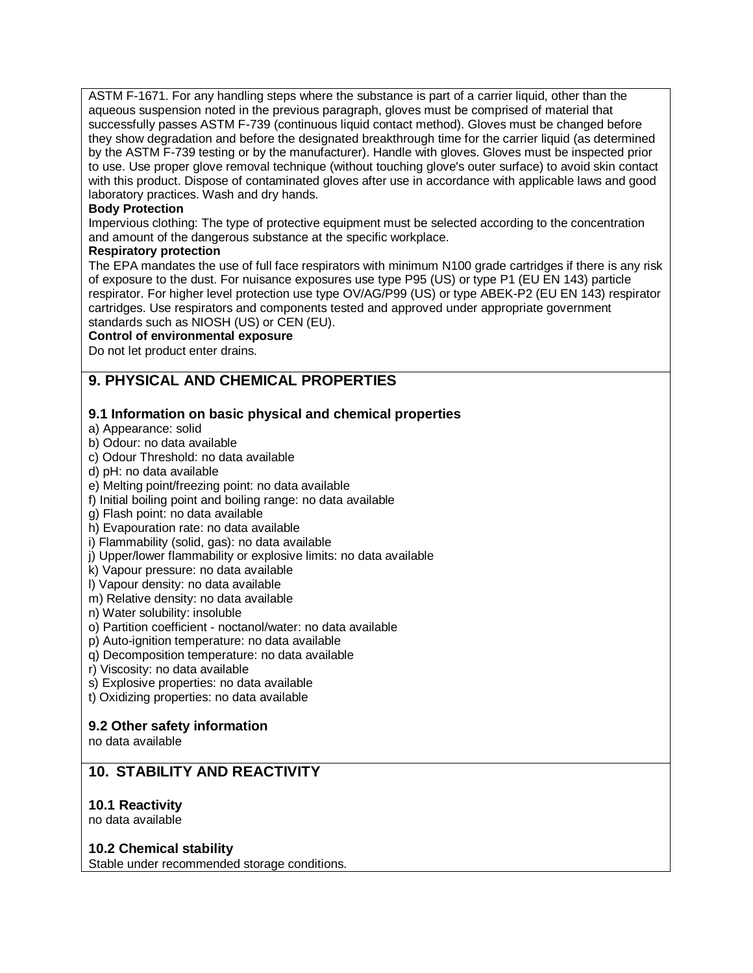ASTM F-1671. For any handling steps where the substance is part of a carrier liquid, other than the aqueous suspension noted in the previous paragraph, gloves must be comprised of material that successfully passes ASTM F-739 (continuous liquid contact method). Gloves must be changed before they show degradation and before the designated breakthrough time for the carrier liquid (as determined by the ASTM F-739 testing or by the manufacturer). Handle with gloves. Gloves must be inspected prior to use. Use proper glove removal technique (without touching glove's outer surface) to avoid skin contact with this product. Dispose of contaminated gloves after use in accordance with applicable laws and good laboratory practices. Wash and dry hands.

### **Body Protection**

Impervious clothing: The type of protective equipment must be selected according to the concentration and amount of the dangerous substance at the specific workplace.

#### **Respiratory protection**

The EPA mandates the use of full face respirators with minimum N100 grade cartridges if there is any risk of exposure to the dust. For nuisance exposures use type P95 (US) or type P1 (EU EN 143) particle respirator. For higher level protection use type OV/AG/P99 (US) or type ABEK-P2 (EU EN 143) respirator cartridges. Use respirators and components tested and approved under appropriate government standards such as NIOSH (US) or CEN (EU).

#### **Control of environmental exposure**

Do not let product enter drains.

# **9. PHYSICAL AND CHEMICAL PROPERTIES**

## **9.1 Information on basic physical and chemical properties**

a) Appearance: solid

b) Odour: no data available

- c) Odour Threshold: no data available
- d) pH: no data available

e) Melting point/freezing point: no data available

f) Initial boiling point and boiling range: no data available

g) Flash point: no data available

h) Evapouration rate: no data available

i) Flammability (solid, gas): no data available

j) Upper/lower flammability or explosive limits: no data available

k) Vapour pressure: no data available

l) Vapour density: no data available

m) Relative density: no data available

n) Water solubility: insoluble

o) Partition coefficient - noctanol/water: no data available

p) Auto-ignition temperature: no data available

q) Decomposition temperature: no data available

r) Viscosity: no data available

s) Explosive properties: no data available

t) Oxidizing properties: no data available

## **9.2 Other safety information**

no data available

## **10. STABILITY AND REACTIVITY**

## **10.1 Reactivity**

no data available

#### **10.2 Chemical stability**

Stable under recommended storage conditions.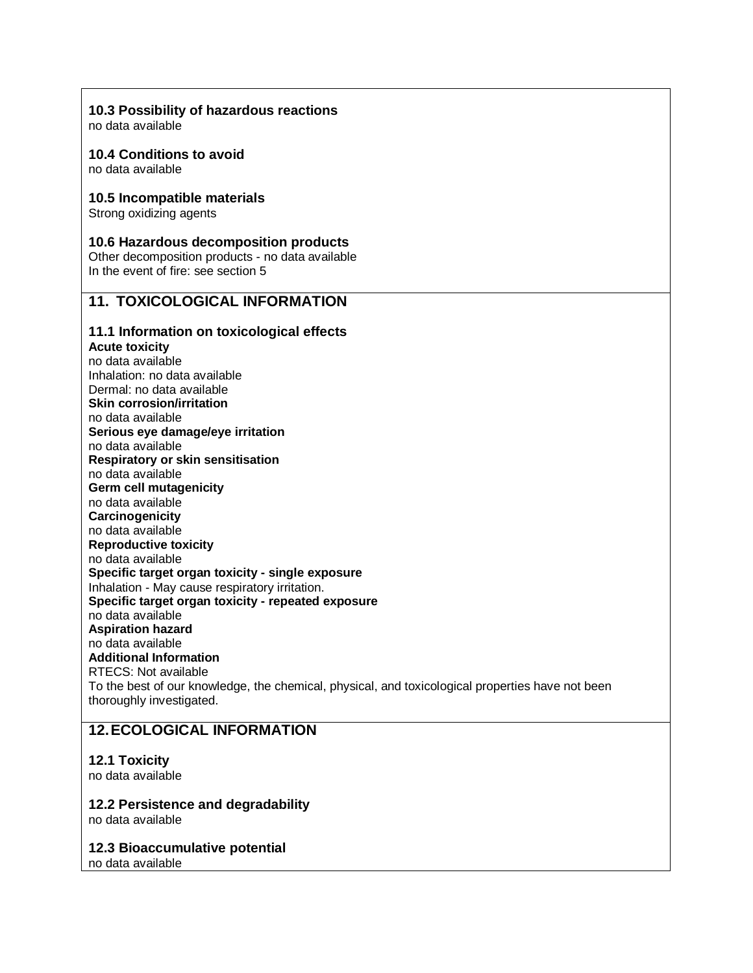### **10.3 Possibility of hazardous reactions**

no data available

#### **10.4 Conditions to avoid**

no data available

#### **10.5 Incompatible materials**

Strong oxidizing agents

#### **10.6 Hazardous decomposition products**

Other decomposition products - no data available In the event of fire: see section 5

## **11. TOXICOLOGICAL INFORMATION**

### **11.1 Information on toxicological effects**

### **Acute toxicity**

no data available Inhalation: no data available Dermal: no data available **Skin corrosion/irritation** no data available **Serious eye damage/eye irritation** no data available **Respiratory or skin sensitisation** no data available **Germ cell mutagenicity** no data available **Carcinogenicity** no data available **Reproductive toxicity** no data available **Specific target organ toxicity - single exposure** Inhalation - May cause respiratory irritation. **Specific target organ toxicity - repeated exposure** no data available **Aspiration hazard** no data available **Additional Information** RTECS: Not available To the best of our knowledge, the chemical, physical, and toxicological properties have not been thoroughly investigated.

## **12.ECOLOGICAL INFORMATION**

#### **12.1 Toxicity**

no data available

# **12.2 Persistence and degradability**

no data available

**12.3 Bioaccumulative potential** no data available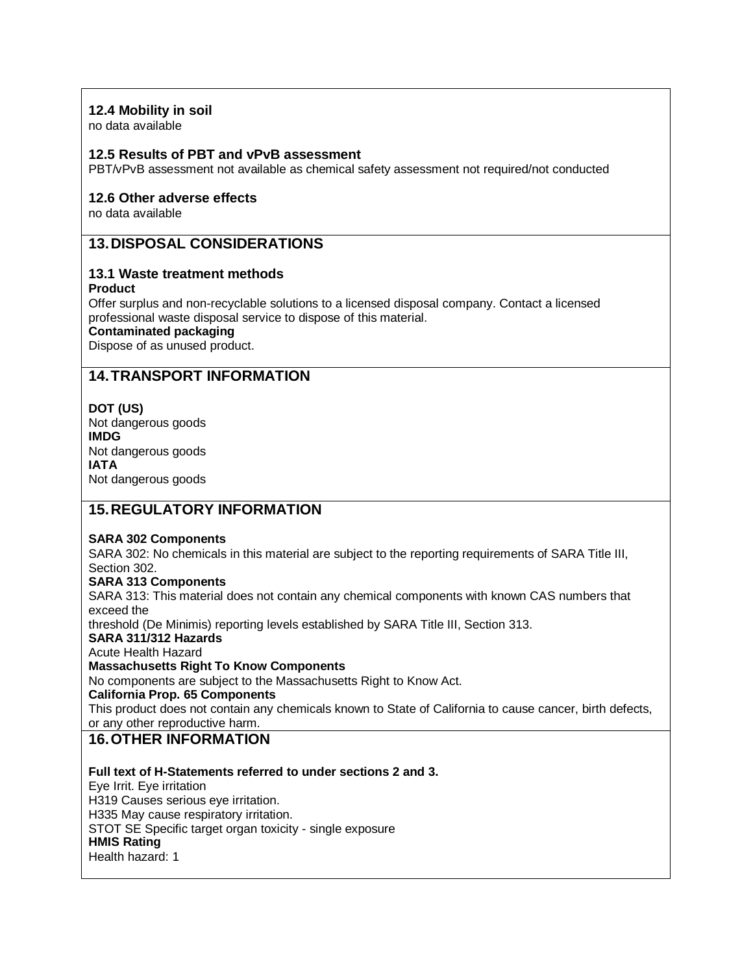## **12.4 Mobility in soil**

no data available

### **12.5 Results of PBT and vPvB assessment**

PBT/vPvB assessment not available as chemical safety assessment not required/not conducted

### **12.6 Other adverse effects**

no data available

## **13.DISPOSAL CONSIDERATIONS**

## **13.1 Waste treatment methods**

#### **Product**

Offer surplus and non-recyclable solutions to a licensed disposal company. Contact a licensed professional waste disposal service to dispose of this material.

#### **Contaminated packaging**

Dispose of as unused product.

## **14.TRANSPORT INFORMATION**

#### **DOT (US)**

Not dangerous goods **IMDG** Not dangerous goods **IATA** Not dangerous goods

## **15.REGULATORY INFORMATION**

#### **SARA 302 Components**

SARA 302: No chemicals in this material are subject to the reporting requirements of SARA Title III, Section 302.

### **SARA 313 Components**

SARA 313: This material does not contain any chemical components with known CAS numbers that exceed the

threshold (De Minimis) reporting levels established by SARA Title III, Section 313.

## **SARA 311/312 Hazards**

Acute Health Hazard

#### **Massachusetts Right To Know Components**

No components are subject to the Massachusetts Right to Know Act.

#### **California Prop. 65 Components**

This product does not contain any chemicals known to State of California to cause cancer, birth defects, or any other reproductive harm.

## **16.OTHER INFORMATION**

**Full text of H-Statements referred to under sections 2 and 3.** Eye Irrit. Eye irritation H319 Causes serious eye irritation. H335 May cause respiratory irritation. STOT SE Specific target organ toxicity - single exposure **HMIS Rating** Health hazard: 1